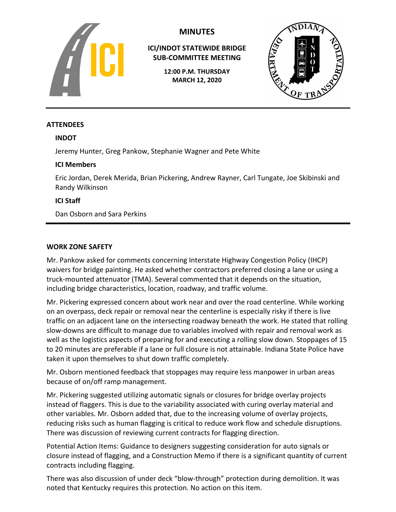

# **MINUTES**

**ICI/INDOT STATEWIDE BRIDGE SUB-COMMITTEE MEETING**

> **12:00 P.M. THURSDAY MARCH 12, 2020**



## **ATTENDEES**

## **INDOT**

Jeremy Hunter, Greg Pankow, Stephanie Wagner and Pete White

## **ICI Members**

Eric Jordan, Derek Merida, Brian Pickering, Andrew Rayner, Carl Tungate, Joe Skibinski and Randy Wilkinson

# **ICI Staff**

Dan Osborn and Sara Perkins

## **WORK ZONE SAFETY**

Mr. Pankow asked for comments concerning Interstate Highway Congestion Policy (IHCP) waivers for bridge painting. He asked whether contractors preferred closing a lane or using a truck-mounted attenuator (TMA). Several commented that it depends on the situation, including bridge characteristics, location, roadway, and traffic volume.

Mr. Pickering expressed concern about work near and over the road centerline. While working on an overpass, deck repair or removal near the centerline is especially risky if there is live traffic on an adjacent lane on the intersecting roadway beneath the work. He stated that rolling slow-downs are difficult to manage due to variables involved with repair and removal work as well as the logistics aspects of preparing for and executing a rolling slow down. Stoppages of 15 to 20 minutes are preferable if a lane or full closure is not attainable. Indiana State Police have taken it upon themselves to shut down traffic completely.

Mr. Osborn mentioned feedback that stoppages may require less manpower in urban areas because of on/off ramp management.

Mr. Pickering suggested utilizing automatic signals or closures for bridge overlay projects instead of flaggers. This is due to the variability associated with curing overlay material and other variables. Mr. Osborn added that, due to the increasing volume of overlay projects, reducing risks such as human flagging is critical to reduce work flow and schedule disruptions. There was discussion of reviewing current contracts for flagging direction.

Potential Action Items: Guidance to designers suggesting consideration for auto signals or closure instead of flagging, and a Construction Memo if there is a significant quantity of current contracts including flagging.

There was also discussion of under deck "blow-through" protection during demolition. It was noted that Kentucky requires this protection. No action on this item.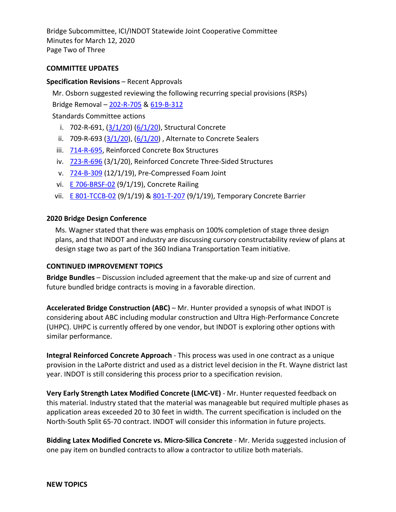Bridge Subcommittee, ICI/INDOT Statewide Joint Cooperative Committee Minutes for March 12, 2020 Page Two of Three

### **COMMITTEE UPDATES**

### **Specification Revisions** – Recent Approvals

Mr. Osborn suggested reviewing the following recurring special provisions (RSPs)

Bridge Removal – [202-R-705](https://www.in.gov/dot/div/contracts/standards/rsp/sep19/200/202-R-705%20200601.pdf) & [619-B-312](https://www.in.gov/dot/div/contracts/standards/rsp/sep19/600/619-B-312%20200601.pdf)

Standards Committee actions

- i. 702-R-691,  $(3/1/20)$   $(6/1/20)$ , Structural Concrete
- ii. 709-R-693  $(3/1/20)$ ,  $(6/1/20)$ , Alternate to Concrete Sealers
- iii. [714-R-695,](https://www.in.gov/dot/div/contracts/standards/rsp/sep19/700/714-R-695%20200301.pdf) Reinforced Concrete Box Structures
- iv. [723-R-696](https://www.in.gov/dot/div/contracts/standards/rsp/sep19/700/723-R-696%20200301.pdf) (3/1/20), Reinforced Concrete Three-Sided Structures
- v. [724-B-309](https://www.in.gov/dot/div/contracts/standards/rsp/sep19/700/724-B-309%20191201.pdf) (12/1/19), Pre-Compressed Foam Joint
- vi. **[E 706-BRSF-02](https://www.in.gov/dot/div/contracts/standards/drawings/sep19/e/700e/e700%20combined%20pdfs/E706-BRSF.pdf) (9/1/19)**, Concrete Railing
- vii. **[E 801-TCCB-02](https://www.in.gov/dot/div/contracts/standards/drawings/sep19/e/800e/e800%20combined%20pdfs/E801-TCCB.pdf)** (9/1/19) & [801-T-207](https://www.in.gov/dot/div/contracts/standards/rsp/sep19/800/801-T-207%20190901.pdf) (9/1/19), Temporary Concrete Barrier

#### **2020 Bridge Design Conference**

Ms. Wagner stated that there was emphasis on 100% completion of stage three design plans, and that INDOT and industry are discussing cursory constructability review of plans at design stage two as part of the 360 Indiana Transportation Team initiative.

#### **CONTINUED IMPROVEMENT TOPICS**

**Bridge Bundles** – Discussion included agreement that the make-up and size of current and future bundled bridge contracts is moving in a favorable direction.

**Accelerated Bridge Construction (ABC)** – Mr. Hunter provided a synopsis of what INDOT is considering about ABC including modular construction and Ultra High-Performance Concrete (UHPC). UHPC is currently offered by one vendor, but INDOT is exploring other options with similar performance.

**Integral Reinforced Concrete Approach** - This process was used in one contract as a unique provision in the LaPorte district and used as a district level decision in the Ft. Wayne district last year. INDOT is still considering this process prior to a specification revision.

**Very Early Strength Latex Modified Concrete (LMC-VE)** - Mr. Hunter requested feedback on this material. Industry stated that the material was manageable but required multiple phases as application areas exceeded 20 to 30 feet in width. The current specification is included on the North-South Split 65-70 contract. INDOT will consider this information in future projects.

**Bidding Latex Modified Concrete vs. Micro-Silica Concrete** - Mr. Merida suggested inclusion of one pay item on bundled contracts to allow a contractor to utilize both materials.